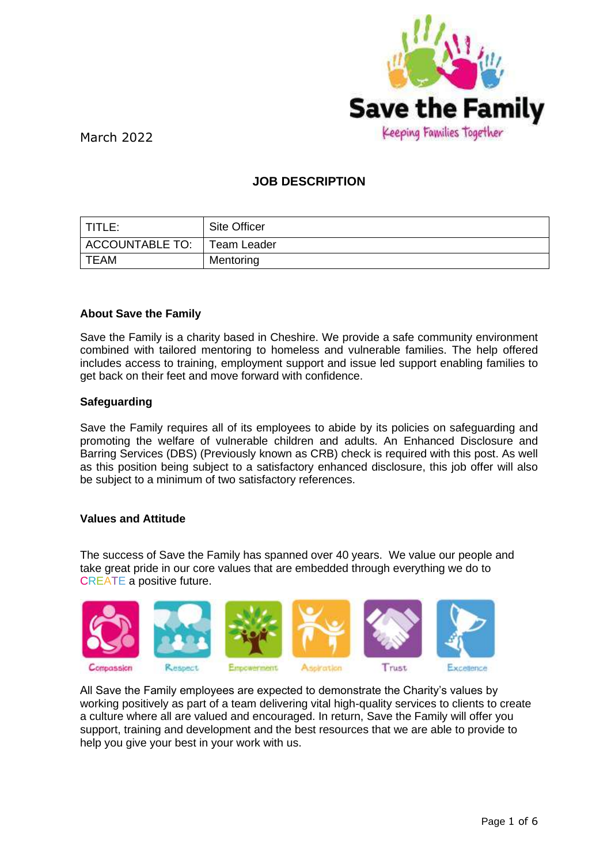

# **JOB DESCRIPTION**

| TITLE:          | <b>Site Officer</b> |
|-----------------|---------------------|
| ACCOUNTABLE TO: | <b>Team Leader</b>  |
| <b>TEAM</b>     | Mentoring           |

## **About Save the Family**

Save the Family is a charity based in Cheshire. We provide a safe community environment combined with tailored mentoring to homeless and vulnerable families. The help offered includes access to training, employment support and issue led support enabling families to get back on their feet and move forward with confidence.

#### **Safeguarding**

Save the Family requires all of its employees to abide by its policies on safeguarding and promoting the welfare of vulnerable children and adults. An Enhanced Disclosure and Barring Services (DBS) (Previously known as CRB) check is required with this post. As well as this position being subject to a satisfactory enhanced disclosure, this job offer will also be subject to a minimum of two satisfactory references.

#### **Values and Attitude**

The success of Save the Family has spanned over 40 years. We value our people and take great pride in our core values that are embedded through everything we do to CREATE a positive future.



All Save the Family employees are expected to demonstrate the Charity's values by working positively as part of a team delivering vital high-quality services to clients to create a culture where all are valued and encouraged. In return, Save the Family will offer you support, training and development and the best resources that we are able to provide to help you give your best in your work with us.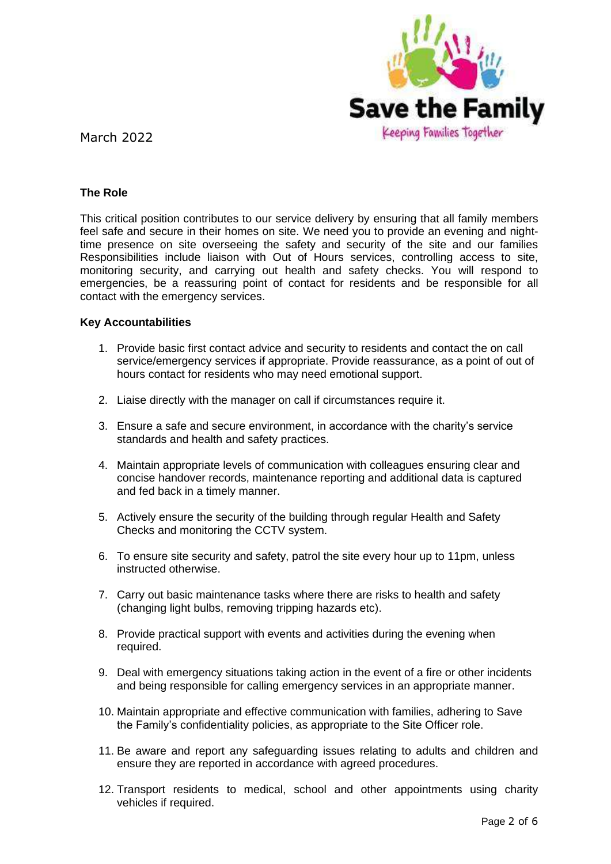

### **The Role**

This critical position contributes to our service delivery by ensuring that all family members feel safe and secure in their homes on site. We need you to provide an evening and nighttime presence on site overseeing the safety and security of the site and our families Responsibilities include liaison with Out of Hours services, controlling access to site, monitoring security, and carrying out health and safety checks. You will respond to emergencies, be a reassuring point of contact for residents and be responsible for all contact with the emergency services.

#### **Key Accountabilities**

- 1. Provide basic first contact advice and security to residents and contact the on call service/emergency services if appropriate. Provide reassurance, as a point of out of hours contact for residents who may need emotional support.
- 2. Liaise directly with the manager on call if circumstances require it.
- 3. Ensure a safe and secure environment, in accordance with the charity's service standards and health and safety practices.
- 4. Maintain appropriate levels of communication with colleagues ensuring clear and concise handover records, maintenance reporting and additional data is captured and fed back in a timely manner.
- 5. Actively ensure the security of the building through regular Health and Safety Checks and monitoring the CCTV system.
- 6. To ensure site security and safety, patrol the site every hour up to 11pm, unless instructed otherwise.
- 7. Carry out basic maintenance tasks where there are risks to health and safety (changing light bulbs, removing tripping hazards etc).
- 8. Provide practical support with events and activities during the evening when required.
- 9. Deal with emergency situations taking action in the event of a fire or other incidents and being responsible for calling emergency services in an appropriate manner.
- 10. Maintain appropriate and effective communication with families, adhering to Save the Family's confidentiality policies, as appropriate to the Site Officer role.
- 11. Be aware and report any safeguarding issues relating to adults and children and ensure they are reported in accordance with agreed procedures.
- 12. Transport residents to medical, school and other appointments using charity vehicles if required.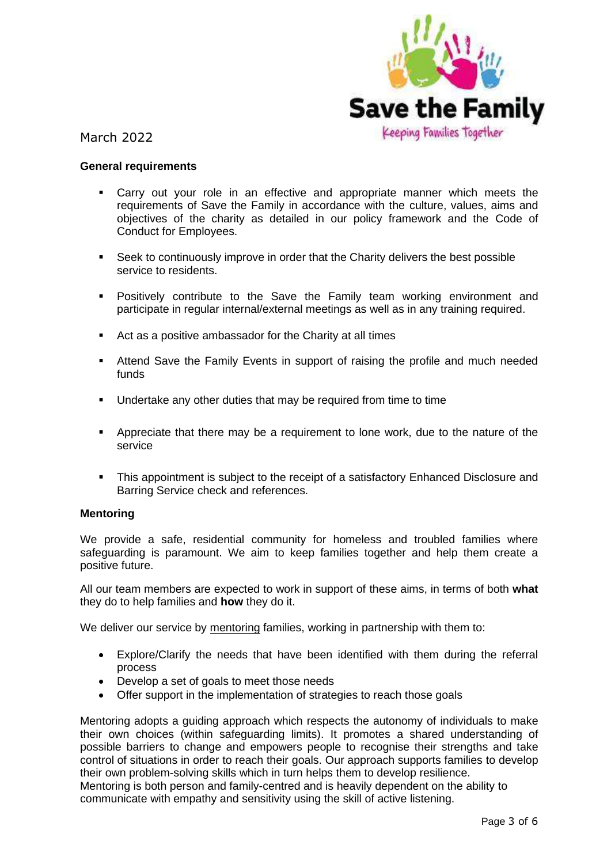

#### **General requirements**

- Carry out your role in an effective and appropriate manner which meets the requirements of Save the Family in accordance with the culture, values, aims and objectives of the charity as detailed in our policy framework and the Code of Conduct for Employees.
- **•** Seek to continuously improve in order that the Charity delivers the best possible service to residents.
- Positively contribute to the Save the Family team working environment and participate in regular internal/external meetings as well as in any training required.
- Act as a positive ambassador for the Charity at all times
- **EXT** Attend Save the Family Events in support of raising the profile and much needed funds
- Undertake any other duties that may be required from time to time
- **EXE** Appreciate that there may be a requirement to lone work, due to the nature of the service
- **•** This appointment is subject to the receipt of a satisfactory Enhanced Disclosure and Barring Service check and references.

#### **Mentoring**

We provide a safe, residential community for homeless and troubled families where safeguarding is paramount. We aim to keep families together and help them create a positive future.

All our team members are expected to work in support of these aims, in terms of both **what** they do to help families and **how** they do it.

We deliver our service by mentoring families, working in partnership with them to:

- Explore/Clarify the needs that have been identified with them during the referral process
- Develop a set of goals to meet those needs
- Offer support in the implementation of strategies to reach those goals

Mentoring adopts a guiding approach which respects the autonomy of individuals to make their own choices (within safeguarding limits). It promotes a shared understanding of possible barriers to change and empowers people to recognise their strengths and take control of situations in order to reach their goals. Our approach supports families to develop their own problem-solving skills which in turn helps them to develop resilience.

Mentoring is both person and family-centred and is heavily dependent on the ability to communicate with empathy and sensitivity using the skill of active listening.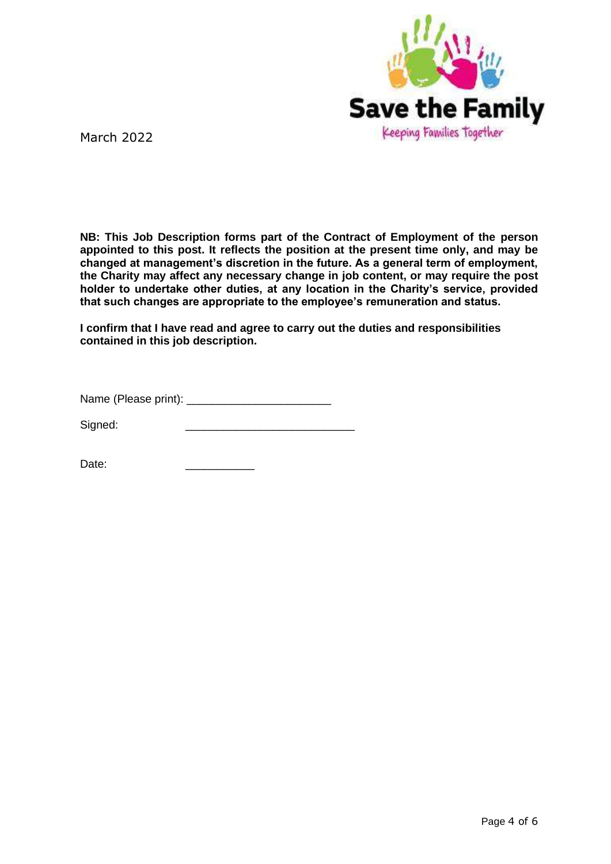

**NB: This Job Description forms part of the Contract of Employment of the person appointed to this post. It reflects the position at the present time only, and may be changed at management's discretion in the future. As a general term of employment, the Charity may affect any necessary change in job content, or may require the post holder to undertake other duties, at any location in the Charity's service, provided that such changes are appropriate to the employee's remuneration and status.**

**I confirm that I have read and agree to carry out the duties and responsibilities contained in this job description.** 

Name (Please print):

Signed:

Date: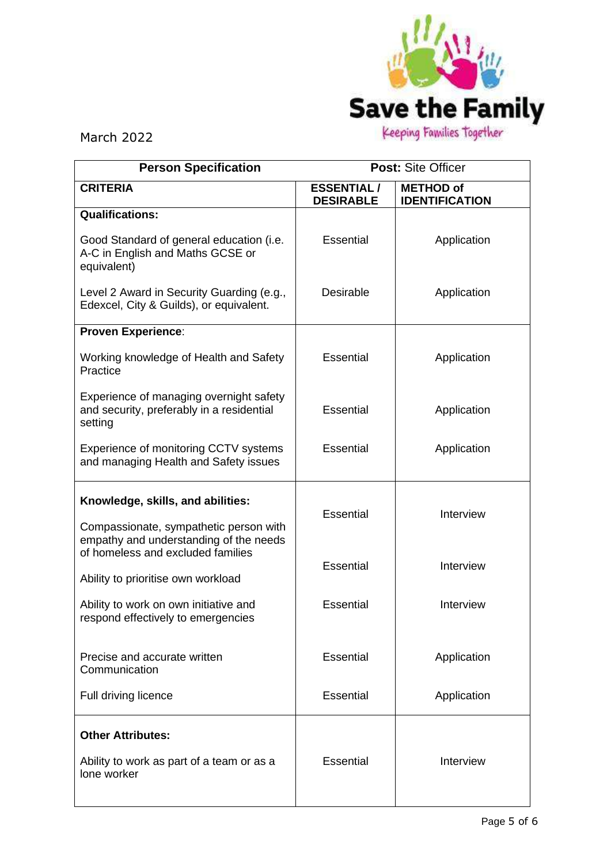

| <b>Person Specification</b>                                                                                           | Post: Site Officer                    |                                           |  |
|-----------------------------------------------------------------------------------------------------------------------|---------------------------------------|-------------------------------------------|--|
| <b>CRITERIA</b>                                                                                                       | <b>ESSENTIAL/</b><br><b>DESIRABLE</b> | <b>METHOD of</b><br><b>IDENTIFICATION</b> |  |
| <b>Qualifications:</b>                                                                                                |                                       |                                           |  |
| Good Standard of general education (i.e.<br>A-C in English and Maths GCSE or<br>equivalent)                           | Essential                             | Application                               |  |
| Level 2 Award in Security Guarding (e.g.,<br>Edexcel, City & Guilds), or equivalent.                                  | <b>Desirable</b>                      | Application                               |  |
| <b>Proven Experience:</b>                                                                                             |                                       |                                           |  |
| Working knowledge of Health and Safety<br>Practice                                                                    | Essential                             | Application                               |  |
| Experience of managing overnight safety<br>and security, preferably in a residential<br>setting                       | Essential                             | Application                               |  |
| Experience of monitoring CCTV systems<br>and managing Health and Safety issues                                        | <b>Essential</b>                      | Application                               |  |
| Knowledge, skills, and abilities:<br>Compassionate, sympathetic person with<br>empathy and understanding of the needs | Essential                             | Interview                                 |  |
| of homeless and excluded families<br>Ability to prioritise own workload                                               | <b>Essential</b>                      | Interview                                 |  |
| Ability to work on own initiative and<br>respond effectively to emergencies                                           | <b>Essential</b>                      | Interview                                 |  |
| Precise and accurate written<br>Communication                                                                         | <b>Essential</b>                      | Application                               |  |
| Full driving licence                                                                                                  | <b>Essential</b>                      | Application                               |  |
| <b>Other Attributes:</b><br>Ability to work as part of a team or as a<br>lone worker                                  | <b>Essential</b>                      | Interview                                 |  |
|                                                                                                                       |                                       |                                           |  |